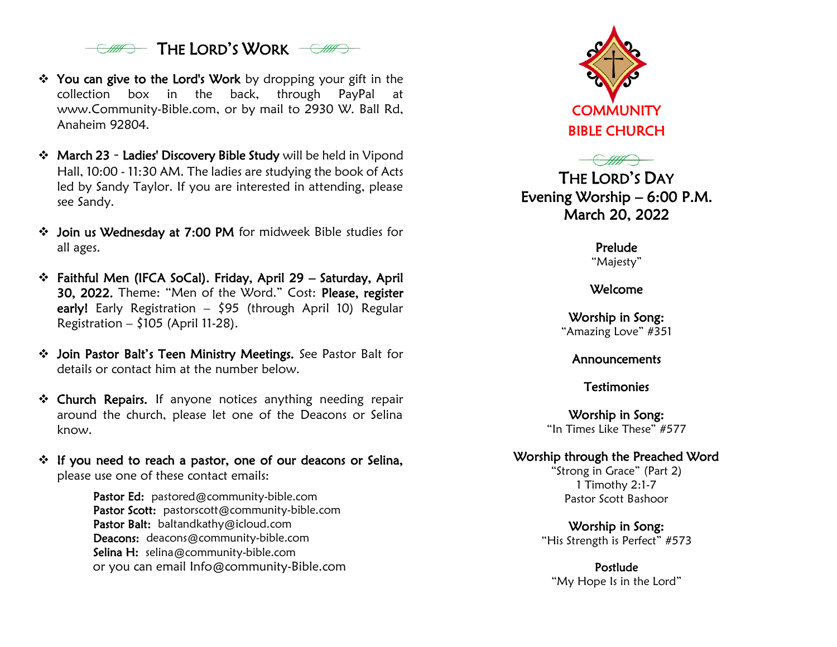

- ❖ You can give to the Lord's Work by dropping your gift in the collection box in the back, through PayPal at www.Community-Bible.com, or by mail to 2930 W. Ball Rd, Anaheim 92804.
- ❖ March 23 Ladies' Discovery Bible Study will be held in Vipond Hall, 10:00 - 11:30 AM. The ladies are studying the book of Acts led by Sandy Taylor. If you are interested in attending, please see Sandy.
- ❖ Join us Wednesday at 7:00 PM for midweek Bible studies for all ages.
- ❖ Faithful Men (IFCA SoCal). Friday, April 29 Saturday, April 30, 2022. Theme: "Men of the Word." Cost: Please, register early! Early Registration  $-$  \$95 (through April 10) Regular Registration –  $$105$  (April 11-28).
- ❖ Join Pastor Balt's Teen Ministry Meetings. See Pastor Balt for details or contact him at the number below.
- ❖ Church Repairs. If anyone notices anything needing repair around the church, please let one of the Deacons or Selina know.
- ❖ If you need to reach a pastor, one of our deacons or Selina, please use one of these contact emails:

Pastor Ed: pastored@community-bible.com Pastor Scott: pastorscott@community-bible.com Pastor Balt: baltandkathy@icloud.com Deacons: deacons@community-bible.com Selina H: selina@community-bible.com or you can email [Info@community-Bible.com](mailto:Info@community-Bible.com)



THE LORD'S DAY Evening Worship – 6:00 P.M. March 20, 2022

> Prelude "Majesty"

Welcome

Worship in Song: "Amazing Love" #351

Announcements

**Testimonies** 

Worship in Song: "In Times Like These" #577

## Worship through the Preached Word

"Strong in Grace" (Part 2) 1 Timothy 2:1-7 Pastor Scott Bashoor

Worship in Song: "His Strength is Perfect" #573

Postlude "My Hope Is in the Lord"